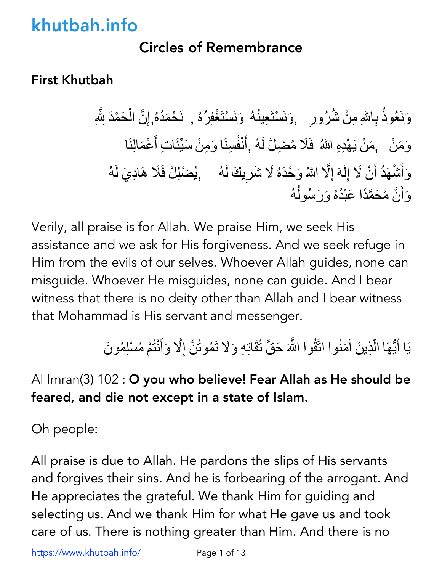## Circles of Remembrance

### First Khutbah

وَنَعُوذُ بِاللهِ مِنْ شُرُورِ ۚ ,وَنَسْتَعِينُهُ ۚ وَنَسْتَغْفِرُهُ , نَحْمَدُهُ,إِنَّ الْحَمْدَ لِلَّهِ ۖ َّ َؘؚّ<br>ۣ وَمَنْ ۖ ,مَنْ يَهْدِهِ اللهُ ۖ فَلَا مُضلَّ لَهُ ,أَنْفُسِنَا وَمِنْ سَيِّئَاتِ أَعْمَالِنَا ۖ ِّ │<br>│ وَأَشْهَدُ أَنْ لَا إِلَهَ إِلَّا اللّهُ وَحْدَهُ لَا شَرِيكَ لَهُ ۖ ۚ ,يُضْلِلْ فَلَا هَادِيَ لَهُ َّ وَأَنَّ مُحَمَّدًا عَبْدُهُ وَرَسُولُهُ ؚ<br>ۣ ُ َّ

Verily, all praise is for Allah. We praise Him, we seek His assistance and we ask for His forgiveness. And we seek refuge in Him from the evils of our selves. Whoever Allah guides, none can misguide. Whoever He misguides, none can guide. And I bear witness that there is no deity other than Allah and I bear witness that Mohammad is His servant and messenger.

> يَا أَيُّهَا الَّذِينَ آَمَنُوا اتَّقُوا اللَّهَ حَقَّ تُقَاتِهِ وَلَا تَمُوتُنَّ إِلَّا وَأَنْتُمْ مُسْلِمُونَ َّ َّ ؚ<br>ا ؚ<br>ا

## Al Imran(3) 102 : O you who believe! Fear Allah as He should be feared, and die not except in a state of Islam.

Oh people:

All praise is due to Allah. He pardons the slips of His servants and forgives their sins. And he is forbearing of the arrogant. And He appreciates the grateful. We thank Him for guiding and selecting us. And we thank Him for what He gave us and took care of us. There is nothing greater than Him. And there is no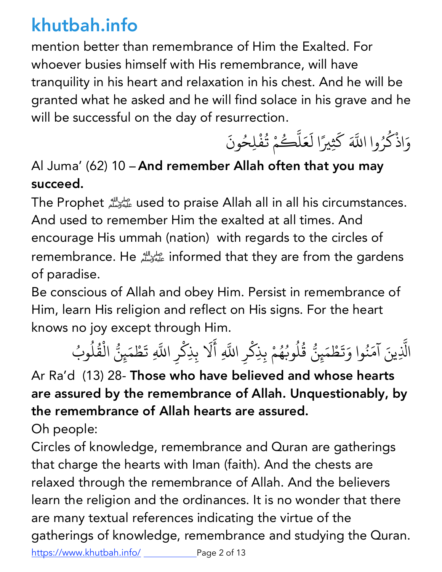mention better than remembrance of Him the Exalted. For whoever busies himself with His remembrance, will have tranquility in his heart and relaxation in his chest. And he will be granted what he asked and he will find solace in his grave and he will be successful on the day of resurrection.

وَاذْكُرُوا اللَّهَ كَثِيرًا لَعَلَّكُمْ تُفْلِحُونَ ا<br>المسلمات **∶** َ <u>:</u> ؚ<br>ۣ المستقبل المستقبل المستقبل المستقبل المستقبل المستقبل المستقبل المستقبل المستقبل المستقبل المستقبل المستقبل ال<br>والمستقبل المستقبل المستقبل المستقبل المستقبل المستقبل المستقبل المستقبل المستقبل المستقبل المستقبل المستقبل ا **∶** 

## Al Juma' (62) 10 – And remember Allah often that you may succeed.

The Prophet عليه وسلم used to praise Allah all in all his circumstances. And used to remember Him the exalted at all times. And encourage His ummah (nation) with regards to the circles of remembrance. Heصلى الله عليه وسلمinformed that they are from the gardens of paradise.

Be conscious of Allah and obey Him. Persist in remembrance of Him, learn His religion and reflect on His signs. For the heart knows no joy except through Him.

الَّذِينَ آمَنُوا وَتَطْمَيِنُّ قُلُوبُهُمْ بِذِكْرِ اللَّهِ أَلَا بِذِكْرِ اللَّهِ تَطْمَيِنُّ الْقُلُوبُ ֪֧֡֟֟֟֟֟֟֟֟֟֟֟֟֟֟֟֟֟֟֟֟֟֟<sup>֟</sup> **∶** ُ **∶ ृ** المستخدم المستخدم المستخدم المستخدم المستخدم المستخدم المستخدم المستخدم المستخدم المستخدم المستخدم المستخدم ال<br>والمستخدم المستخدم المستخدم المستخدم المستخدم المستخدم المستخدم المستخدم المستخدم المستخدم المستخدم المستخدم ا ُ ُ ُ ؚ<br>ۣ  $\ddot{\phantom{a}}$ <u>់</u> **:**  $\overline{\phantom{a}}$ ْ ُ ا<br>ا

Ar Ra'd (13) 28- Those who have believed and whose hearts are assured by the remembrance of Allah. Unquestionably, by the remembrance of Allah hearts are assured.

Oh people:

Circles of knowledge, remembrance and Quran are gatherings that charge the hearts with Iman (faith). And the chests are relaxed through the remembrance of Allah. And the believers learn the religion and the ordinances. It is no wonder that there are many textual references indicating the virtue of the gatherings of knowledge, remembrance and studying the Quran.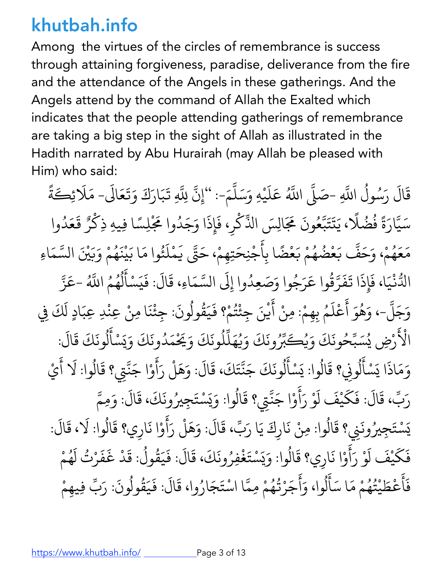Among the virtues of the circles of remembrance is success through attaining forgiveness, paradise, deliverance from the fire and the attendance of the Angels in these gatherings. And the Angels attend by the command of Allah the Exalted which indicates that the people attending gatherings of remembrance are taking a big step in the sight of Allah as illustrated in the Hadith narrated by Abu Hurairah (may Allah be pleased with Him) who said:

قَالَ رَسُولُ اللَّهِ -صَلَّى اللَّهُ المستقبل المستقبل المستقبل المستقبل المستقبل المستقبل المستقبل المستقبل المستقبل المستقبل المستقبل المستقبل ال<br>والمستقبل المستقبل المستقبل المستقبل المستقبل المستقبل المستقبل المستقبل المستقبل المستقبل المستقبل المستقبل ا + + اللَّهُ عَلَيْهِ وَسَلَّمَ-: ''إِنَّ لِلَّهِ تَبَارَكَ وَتَعَالَى- مَلَا يُكَةً َ ्<br>।  $\overline{\phantom{a}}$ + +  $\ddot{\phantom{0}}$ َ ै।<br>। َ֧֦֧֝<u>֘</u> سَيَّارَةً فُضُلًا، يَتَتَبَّعُونَ مَجَالِسَ الذِّكْرِ، فَإِذَا وَجَدُوا مَجْلِسًا فِيهِ ذِكْرٌ قَعَدُوا َ + َ **ا**<br>ا ُ **ا** َ  $\ddot{\phantom{a}}$  $\ddot{\phantom{0}}$ + <u>:</u> <u>់</u> َ <u>់</u>  $\ddot{\phantom{0}}$ مَعَهُمْ، وَحَفَّ بَعْضُهُمْ بَعْضًا بِأَجْنِحَتِهِمْ، حَتَّى يَمْلَئُوا مَا بَيْنَهُمْ وَبَيْنَ السَّمَاءِ **ृ** ؚ<br>֧֝֟֟֟֟֟֟֟֟֟֟֟֟֟֓֡֬֟֟֓֡֬֟֟֩*֟* ُ + َ ُ ُ **∶ ا**<br>ا  $\overline{\phantom{a}}$ + **∶** ْ َ ُ ्<br>। ْ ्<br>। ُ َ +֧֝֟֟֟֟֟֟֟֟֟֟֟֟֓֟֓֟֓֟֟֓֟֬֟֟֓֟֬֝֬֟֓֟֬֝֬֟֟֩֬ الدُّنْيَا، فَإِذَا تَفَرَّقُوا عَرَجُوا وَصَعِدُوا إِلَى السَّمَاءِ، قَالَ: فَيَسْأَلُهُمُ **∶**  $\ddot{\phantom{0}}$ ्<br>। + ُ ់<br>រ المُستَّبِينِ بِهِ الْمُسَوِّرِ بِهِ الْمُسَوِّرِ بِهِ الْمُسْتَفِيقِينَ بِهِ الْمُسْتَفِيقِينَ بِهِ الْمُسْتَفِيقِينَ بِهِ الْمُسْتَفِيقِينَ بِهِ الْمُسْتَفِيقِينَ بِهِ الْمُسْتَفِيقِينَ بِهِ الْمُسْتَفِيقِينَ بِهِ الْمُ +<br>+ **∶** .<br>المسلماني َ ل المستقبل المستقبل المستقبل المستقبل المستقبل المستقبل المستقبل المستقبل المستقبل المستقبل المستقبل المستقبل ال<br>والمستقبل المستقبل المستقبل المستقبل المستقبل المستقبل المستقبل المستقبل المستقبل المستقبل المستقبل المستقبل ا المستقبل المستقبل المستقبل المستقبل المستقبل المستقبل المستقبل المستقبل المستقبل المستقبل المستقبل المستقبل ال<br>والمستقبل المستقبل المستقبل المستقبل المستقبل المستقبل المستقبل المستقبل المستقبل المستقبل المستقبل المستقبل ا , اللَّهُ -عَزَّ َ + وَجَلَّ-، وَهُوَ أَعْلَمُ بِهِمْ: مِنْ أَيْنَ جِئْتُمْ؟ فَيَقُولُونَ: جِئْنَا مِنْ عِنْدِ عِبَادٍ لَكَ فِي + ا<br>المسلمان<br>المسلمان  $\ddot{\phantom{a}}$ ؚ<br>ا **∶** ِّ ِ ؚ<br>֧֪֖֝֟֟֟֟֟֟֟֟֟֟֟֟֟֟֟֟֟֟֟֟֟֟֟֟֟֟֟֟֟֟֝֬֝֟֟֩ ُ َ ्<br>। ُ ْ ٍ الأ .<br>المجمع رْضِ يُسَبِّحُونَكَ وَيُكَ ्<br>ऽ <u>֚</u> َ َ ُ بِّرُونَكَ وَيُهَلِّلُونَكَ وَيَحْمَدُونَكَ وَيَسْأَلُونَكَ قَالَ: َ المستقبل المستقبل المستقبل المستقبل المستقبل المستقبل المستقبل المستقبل المستقبل المستقبل المستقبل المستقبل ال<br>والمستقبل المستقبل المستقبل المستقبل المستقبل المستقبل المستقبل المستقبل المستقبل المستقبل المستقبل المستقبل ا ्<br>। <u>י</u> المستقبل المستقبل المستقبل المستقبل المستقبل المستقبل المستقبل المستقبل المستقبل المستقبل المستقبل المستقبل ال<br>والمستقبل المستقبل المستقبل المستقبل المستقبل المستقبل المستقبل المستقبل المستقبل المستقبل المستقبل المستقبل ا المستقبل المستقبل المستقبل المستقبل المستقبل المستقبل المستقبل المستقبل المستقبل المستقبل المستقبل المستقبل ال<br>والمستقبل المستقبل المستقبل المستقبل المستقبل المستقبل المستقبل المستقبل المستقبل المستقبل المستقبل المستقبل ا **∶** ي ١ َ ل المستقبل المستقبل المستقبل المستقبل المستقبل المستقبل المستقبل المستقبل المستقبل المستقبل المستقبل المستقبل ال<br>والمستقبل المستقبل المستقبل المستقبل المستقبل المستقبل المستقبل المستقبل المستقبل المستقبل المستقبل المستقبل ا **∶** وَمَاذَا يَسْأَلُونِي؟ قَالُوا: يَسْأَلُونَكَ جَنَّتَكَ، قَالَ: وَهَلْ رَأَوْا جَنَّتِي؟ قَالُوا: لَا أَيْ َ ْ  $\ddot{\phantom{0}}$ ل ُ  $\overline{\phantom{a}}$ المستقبل المستقبل المستقبل المستقبل المستقبل المستقبل المستقبل المستقبل المستقبل المستقبل المستقبل المستقبل ال<br>والمستقبل المستقبل المستقبل المستقبل المستقبل المستقبل المستقبل المستقبل المستقبل المستقبل المستقبل المستقبل ا  $\ddot{\phantom{0}}$ ل ِينِ المُسْتَخِبِينِ بِهِ الْمُسْتَخِبِينِ بِهِ الْمُسْتَخِبِينِ بِهِ الْمُسْتَخِبِينِ بِهِ الْمُسْتَخِبِينِ ب ्<br>। + ्<br>। ا<br>ا ैं।<br>●<br>● +  $\ddot{\phantom{a}}$  $\ddot{\phantom{a}}$ رَبَّ، قَالَ: فَكَيْفَ لَوْ رَأَوْا جَنَّتِي؟ قَالُوا: وَيَسْتَجِيرُونَكَ، قَالَ: وَمِمَّ ֺ֦֦֖֦֦֦֖֖֪֦֧֪֪֚֚֚֚֚֚֚֝֝֝֝֝֝֝֬֝֬֝֝֝֝֟֓֟֓֟֓֝֬֝֓֝֬֝֓֝֬֝֓֞֟֓֝֬֝֓֝֬֝֓֞֝֬֝֓֞֝֬֝֓֝֓֝֬֝֓֞֝֝֝֬֝֝֝֬֝֝ َ َ **∶** ्<br>। +  $\overline{\phantom{a}}$ ِّ بِهِ الْمُسْتَقِينَ بِهِ الْمُسْتَقِينَ بِهِ الْمُسْتَقِينَ بِهِ الْمُسْتَقِينَ بِهِ الْمُسْتَقِينَ بِهِ ال **∶** ي + ي بَسْتَجِيرُونَنِي؟ قَالُوا: مِنْ نَارِكَ يَا رَبِّ، قَالَ: وَهَلْ رَأَوْا نَارِي؟ قَالُوا: لَا، قَالَ:  $\ddot{\phantom{a}}$ ُ َ بِالْمُسَابِعِينِ<br>م ์<br>.<br>.  $\ddot{\phantom{a}}$ َ فَكَيْفَ لَوْ رَأَوْا نَارِي؟ قَالُوا: وَيَسْتَغْفِرُونَكَ، قَالَ: فَيَقُولُ: قَدْ غَفَرْتُ لَهُمْ ֺ֧֦֧֦֖֖֖֖֖֖֖֖֧֧֧֦֧֪֚֚֚֚֚֚֚֚֝֝֝֝֝֓֕֓֡֓֝֬֝֓֓֝֓֓֝֓֓֡֬֓֓֓֡֬֓֓֓֡֬֓֓֝֬֝֓֞֓֓֞֓֡֬֝֓֞֓֬֝֓֞֓֝֬֝֬֝֓֬֝֓ **∶** َ .<br>: **∶** المستقبل المستقبل المستقبل المستقبل المستقبل المستقبل المستقبل المستقبل المستقبل المستقبل المستقبل المستقبل ال<br>والمستقبل المستقبل المستقبل المستقبل المستقبل المستقبل المستقبل المستقبل المستقبل المستقبل المستقبل المستقبل ا َي ١,  $\ddot{\phantom{0}}$ **∶ ∶** ُ **∶**  $\overline{\phantom{a}}$ َ َ ُ ْ فَأَعْطَيْتُهُمْ مَا سَأَلُوا، وَأَجَرْتُهُمْ مِمَّا اسْتَجَارُوا، قَالَ: فَيَقُولُونَ: رَبِّ فِيهِمْ **∶**  $\ddot{\phantom{a}}$ ُ ُ ्<br>। َ ل ُ َ $\ddot{\phantom{a}}$ ْ ُ ُ + َ **∶** ُ ّ ْ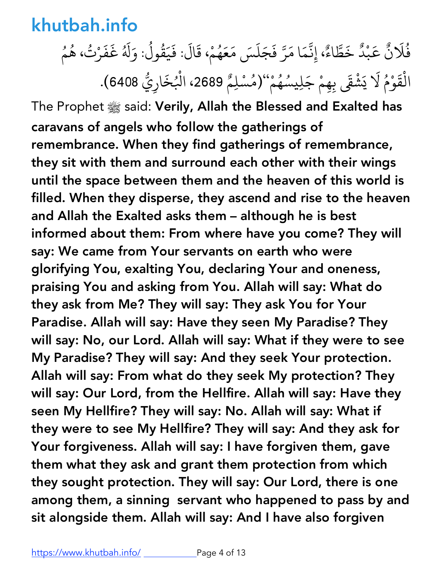#### فُلَانٌ عَبْدٌ خَطَّاءٌ، إِنَّمَا مَرَّ فَجَلَسَ مَعَهُمْ، قَالَ: فَيَقُولُ: وَلَهُ غَفَرْتُ، هُمُ ٌ َ ْ ٌ :<br>: + **∶ ृ** َ َ المستقبل المستقبل المستقبل المستقبل المستقبل المستقبل المستقبل المستقبل المستقبل المستقبل المستقبل المستقبل ال<br>والمستقبل المستقبل المستقبل المستقبل المستقبل المستقبل المستقبل المستقبل المستقبل المستقبل المستقبل المستقبل ا ्<br>। **∶** ُ َ َ َ ُ ؚ<br>ۣ ُ الْقَوْمُ لَا يَشْقَى بِهِمْ جَلِيسُهُمْ''(مُسْلِمُ 2689، الْبُخَارِيُّ 6408). ्<br>। ْ َ ي  $\ddot{\phantom{0}}$ ُ ْ

The Prophet  $\frac{360}{265}$  said: Verily, Allah the Blessed and Exalted has caravans of angels who follow the gatherings of remembrance. When they find gatherings of remembrance, they sit with them and surround each other with their wings until the space between them and the heaven of this world is filled. When they disperse, they ascend and rise to the heaven and Allah the Exalted asks them – although he is best informed about them: From where have you come? They will say: We came from Your servants on earth who were glorifying You, exalting You, declaring Your and oneness, praising You and asking from You. Allah will say: What do they ask from Me? They will say: They ask You for Your Paradise. Allah will say: Have they seen My Paradise? They will say: No, our Lord. Allah will say: What if they were to see My Paradise? They will say: And they seek Your protection. Allah will say: From what do they seek My protection? They will say: Our Lord, from the Hellfire. Allah will say: Have they seen My Hellfire? They will say: No. Allah will say: What if they were to see My Hellfire? They will say: And they ask for Your forgiveness. Allah will say: I have forgiven them, gave them what they ask and grant them protection from which they sought protection. They will say: Our Lord, there is one among them, a sinning servant who happened to pass by and sit alongside them. Allah will say: And I have also forgiven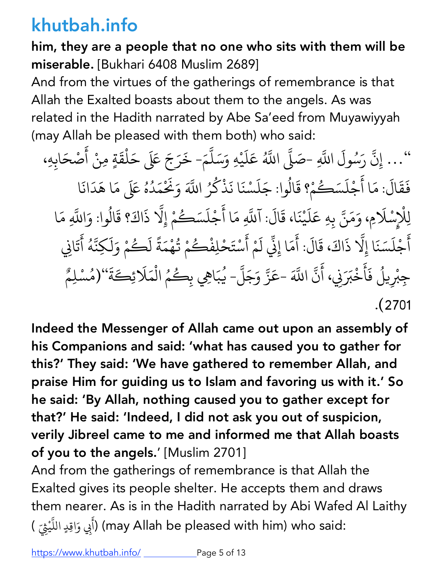him, they are a people that no one who sits with them will be miserable. [Bukhari 6408 Muslim 2689]

And from the virtues of the gatherings of remembrance is that Allah the Exalted boasts about them to the angels. As was related in the Hadith narrated by Abe Sa'eed from Muyawiyyah (may Allah be pleased with them both) who said:

... إِنَّ رَسُولَ اللَّهِ -صَلَّى اللَّهُ ++ + اللَّهُ عَلَيْهِ وَسَلَّمَ- خَرَجَ عَلَى حَلْقَةٍ مِنْ أَصْحَابِهِ، َ **ृ** ؚ<br>ؚ<br>ؘ + ֺ<u>֓</u> ैं।<br>● ْ  $\ddot{\phantom{a}}$ فَقَالَ: مَا أَجْلَسَكُمْ؟ قَالُوا: جَلَسْنَا نَذْكُرُ ्<br>। ֖֚֚֚֚֚֚֝֝֝֝֝֝֝֝֝ ؚ<br>ۣ َ  $\ddot{\phantom{0}}$ ्<br>्<br> ्<br>। **∶** <u>َ</u> **∶** ا<br>المسابق ِ اللَّهَ وَنَخْ `<br>م ـ<br>مَدُهُ عَلَى مَا هَدَانَا المستقبل المستقبل المستقبل المستقبل المستقبل المستقبل المستقبل المستقبل المستقبل المستقبل المستقبل المستقبل ال<br>والمستقبل المستقبل المستقبل المستقبل المستقبل المستقبل المستقبل المستقبل المستقبل المستقبل المستقبل المستقبل ا َ لِلْإِسْلَامِ، وَمَنَّ بِهِ عَلَيْنَا، قَالَ: آللَّهِ مَا أَجْلَسَكُمْ إِلَّا ذَاكَ؟ قَالُوا: وَاللَّهِ مَا + ֦֧֢֦֧֢ׅ֧֦֧ׅ֧֦֧ׅ֧֚֝֝֟֟֟֓֝֟֟֓֝֬֝֟֓֝֬֜֟֓֝֬֜֓֟֓֜֓֜֓֓ **∶** ْ + ्<br>। ֦֧<u>֘</u> **∶** +  $\ddot{\phantom{a}}$ ُ + ्<br>। أَجْلَسَنَا إِلَّا ذَاكَ، قَالَ: أَمَا إِنِّي لَمْ أَسْتَحْلِفْكُمْ تُهْمَةً لَكُمْ وَلَكِنَّهُ أَتَانِي ا<br>ا **الله على المنابع المنابع المنابع المنابع المنابع المنابع المنابع المنابع المنابع المنابع المنابع ا ∶** ֖֚֚֝֝֝֝֝֝**֝** + ्<br>। ֦֧֧֦֧֦֪֦֖֧֦֧֦֖֝֟֟֟֟֟֟֟֟֟֟֟֟֟֓֡֬֝֟֟֟֟֬֝֟֓֝֬֝֟֓֟֟֟֟֬֝֬֝֟֟֓֟֝֬֝֬ ل َ ا<br>ا ।<br>∫ ُ ْ ्<br>। <u>ً</u> ।<br>∫ **∶** + ∫<br>່ ्<br>। جِبْرِيلُ فَأَخْبَرَنِي، أَنَّ ْ المستقبل المستقبل المستقبل المستقبل المستقبل المستقبل المستقبل المستقبل المستقبل المستقبل المستقبل المستقبل ال<br>والمستقبل المستقبل المستقبل المستقبل المستقبل المستقبل المستقبل المستقبل المستقبل المستقبل المستقبل المستقبل ا **│**  $\ddot{\phantom{0}}$  $\ddot{\phantom{a}}$ + َ+اللَّهَ -عَزَّ وَجَلَّ- يُبَاهِي بِكُمُ الْمَلَائِكَةَ''(مُسْلِمٌ ֚֝֝֟֟֟֟֟֟֟֟֟֟֓֡֟ + + المستقبل المستقبل المستقبل المستقبل المستقبل المستقبل المستقبل المستقبل المستقبل المستقبل المستقبل المستقبل ال<br>والمستقبل المستقبل المستقبل المستقبل المستقبل المستقبل المستقبل المستقبل المستقبل المستقبل المستقبل المستقبل ا ्<br>द ْ ٌَ .(2701

Indeed the Messenger of Allah came out upon an assembly of his Companions and said: 'what has caused you to gather for this?' They said: 'We have gathered to remember Allah, and praise Him for guiding us to Islam and favoring us with it.' So he said: 'By Allah, nothing caused you to gather except for that?' He said: 'Indeed, I did not ask you out of suspicion, verily Jibreel came to me and informed me that Allah boasts of you to the angels.' [Muslim 2701]

And from the gatherings of remembrance is that Allah the Exalted gives its people shelter. He accepts them and draws them nearer. As is in the Hadith narrated by Abi Wafed Al Laithy (أَبِي وَاقِدٍ اللَّيْقِيّ ) (may Allah be pleased with him) who said: + َ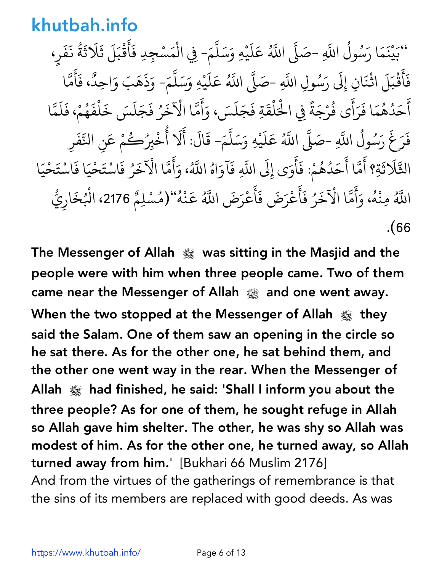.<br>``بَيْنَمَا رَسُولُ اللَّهِ -صَلَّى اللَّهُ **∶** ْ َ المستقبل المستقبل المستقبل المستقبل المستقبل المستقبل المستقبل المستقبل المستقبل المستقبل المستقبل المستقبل ال<br>والمستقبل المستقبل المستقبل المستقبل المستقبل المستقبل المستقبل المستقبل المستقبل المستقبل المستقبل المستقبل ا + + اللَّهُ عَلَيْهِ وَسَلَّمَ- فِي الْمَسْجِدِ فَأَقْبَلَ ثَلَاثَةُ نَفَرٍ، َ َ ै।<br>। + ْ**ृ** ैं. ْ **∶**  $\ddot{\phantom{0}}$ المستشرك المستشرك المستشرك المستشرك المستشرك المستشرك المستشرك المستشرك المستشرك المستشرك المستشرك المستشركة ا<br>والمستشركة المستشركة المستشركة المستشركة المستشركة المستشركة المستشركة المستشركة المستشركة المستشركة المستشركة َ ्<br>। ٍ فَأَقْبَلَ اثْنَانِ إِلَى رَسُولِ اللَّهِ -صَلَّى اللَّهُ **∶**  $\ddot{\phantom{0}}$ <u>់</u> ْ + + اللَّهُ عَلَيْهِ وَسَلَّمَ- وَذَهَبَ وَاحِدٌ، فَأَمَّا َ **∶** َ + **∶ ∶**  $\ddot{\phantom{a}}$ + ..<br>أَحَدُهُمَا فَرَأَى فُرْجَةً فِي الْحُلْقَةِ فَجَلَسَ، وَأَمَّا الْآخَرُ فَجَلَسَ خَلْفَهُمْ، فَلَمَّا  $\ddot{\phantom{0}}$ ُ المستقبل المستقبل المستقبل المستقبل المستقبل المستقبل المستقبل المستقبل المستقبل المستقبل المستقبل المستقبل ال<br>والمستقبل المستقبل المستقبل المستقبل المستقبل المستقبل المستقبل المستقبل المستقبل المستقبل المستقبل المستقبل ا ्<br>। ्<br>। ُ ैं।<br>। <u>ً</u> ْ َ ैं।<br>। **∶** ់<br>: ्<br>। َ َ ्<br>। المستقبل المستقبل المستقبل المستقبل المستقبل المستقبل المستقبل المستقبل المستقبل المستقبل المستقبل المستقبل ال<br>والمستقبل المستقبل المستقبل المستقبل المستقبل المستقبل المستقبل المستقبل المستقبل المستقبل المستقبل المستقبل ا ्<br>। **∶** + فَرَغَ رَسُولُ اللَّهِ -صَلَّى اللَّهُ **∶**  $\ddot{\phantom{0}}$ ِينِ المُسْتَخِبِينِ بِهِ الْمُسْتَخِبِينِ بِهِ الْمُسْتَخِبِينِ بِهِ الْمُسْتَخِبِينِ بِهِ الْمُسْتَخِبِينِ ب |<br>|<br>| + ِ<br>اللَّهُ عَلَيْهِ وَسَلَّمَ- قَالَ: أَلَا أُخْبِرُكُ َ َ  $\overline{\phantom{a}}$ + ै<br>। ُ ء<br>م عَن النَّ +<br>+ ِن<br>ن ف ر ्<br>। **∶** الثَّلَاثَةِ؟ أَمَّا أَحَدُهُمْ: فَأَوَى إِلَى اللَّهِ فَآوَاهُ اللَّهُ، وَأَمَّا الْآخَرُ فَاسْتَحْيَا فَاسْتَحْيَا ์<br>;  $\ddot{\phantom{a}}$ ै।<br>। المستقبل المستقبل المستقبل المستقبل المستقبل المستقبل المستقبل المستقبل المستقبل المستقبل المستقبل المستقبل ال<br>والمستقبل المستقبل المستقبل المستقبل المستقبل المستقبل المستقبل المستقبل المستقبل المستقبل المستقبل المستقبل ا ؚ<br>ۣ **∶**  $\ddot{\phantom{a}}$ **∶**  $\ddot{\phantom{a}}$ ्<br>। ؚ<br>ۣ ؚ<br>֧֟ ्<br>। و<br>ا اللَّهُ مِنْهُ، وَأَمَّا الْآخَرُ فَأَعْرَضَ فَأَعْرَ ْ المُستَّبِينِ بِهِ الْمُسَوِّرِ بِهِ الْمُستَبِينِ بِهِ الْمُستَبِينِ بِهِ الْمُستَبِينِ بِهِ الْمُستَبِينِ بِ **∶**  $\ddot{\phantom{a}}$ ्<br>। َ َ ؚ<br>ا **ृ**  $\ddot{\phantom{0}}$ ؚ<br>ۣ رَضَ اللَّهُ عَنْهُ"(مُسْلِمٌ 2176، الْبُخَارِيُّ ؚ<br>֡<br>֧֝<br>֧֝ ْ المُستَّبِينِ بِهِ الْمُسَوِّرِ بِهِ الْمُستَبِينِ بِهِ الْمُستَبِينِ بِهِ الْمُستَبِينِ بِهِ الْمُستَبِينِ بِ ْ֖֪֪֪֪֦֪֪֪֦֖֧֖֧֦֖֧֦֪֪֪֖֖֖֪֪֪֪֖֪֡֟֟֟֟֟֟֟֟֟֟֟֟֟֟֟֟֟֟֟֟֟֟֟֟֟֟֟֝֟֟֟֟֟֟֟֝֟֟֟֟֟֩֬֟֟֩֬֝֬֝֟֟֟֬֝֬֝֟֝֬֝֬֝֬֝֬֝֬֝֬֝֟֝֬֬֝֬֝֟֝֬ .(66

The Messenger of Allah **صلى الله عليه وسلم** was sitting in the Masjid and the people were with him when three people came. Two of them came near the Messenger of Allah **صلى الله عليه وسلم** and one went away. When the two stopped at the Messenger of Allah  $\frac{160}{250}$  they said the Salam. One of them saw an opening in the circle so he sat there. As for the other one, he sat behind them, and the other one went way in the rear. When the Messenger of Allah  $\frac{1000}{2000}$  had finished, he said: 'Shall I inform you about the three people? As for one of them, he sought refuge in Allah so Allah gave him shelter. The other, he was shy so Allah was modest of him. As for the other one, he turned away, so Allah turned away from him.' [Bukhari 66 Muslim 2176] And from the virtues of the gatherings of remembrance is that the sins of its members are replaced with good deeds. As was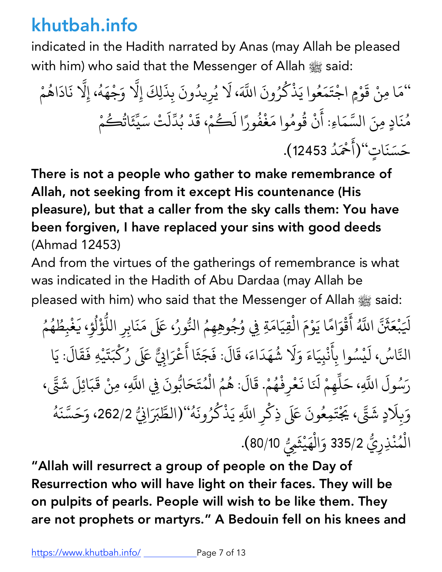indicated in the Hadith narrated by Anas (may Allah be pleased with him) who said that the Messenger of Allah  $\frac{1000}{200}$  said:

م " <sup>ق</sup> ْ <sup>ا</sup> ِمن َ َ و ْ ٍم اج ْ ت َ م َ ع ُ <sup>ذ</sup> َ وا <sup>ي</sup> ك ُ ر ون ُ ، لا َ+ اب َ ي َ ُ ر يد ِ ُ ون ب َ ذ ِ لِك َ ِلا إ َ + و ج َ ْ ه َ ه ِلا ، إ ُ + ن اد َ اه َ ُ م ْ م ُ ن <sup>د</sup> ِمن َ ٍ + الس َ ا م َ اِء: أ َ ن ق ْ ُ وم ُ َ وام غ ف ُ ور ا ل ً ك َ ُ م ، ق ْ َ د ب ُ د ّ ل ت َ س ْ َ ي ّ ئ َ ات ُ ك ُ م ْ ح س َ َ ن "(<sup>أ</sup> َ ت ٍ َ ا ح د َْ ُ .(<sup>12453</sup>

There is not a people who gather to make remembrance of Allah, not seeking from it except His countenance (His pleasure), but that a caller from the sky calls them: You have been forgiven, I have replaced your sins with good deeds (Ahmad 12453)

And from the virtues of the gatherings of remembrance is what was indicated in the Hadith of Abu Dardaa (may Allah be pleased with him) who said that the Messenger of Allah  $\frac{1000}{200}$  said:

لَيَبْعَثَنَّ اللَّهُ أَقْوَامًا يَوْمَ الْقِيَامَةِ فِي وُجُوهِهِمُ النُّورُ، عَلَى مَنَابِرِ اللُّؤْلُوِ، يَغْبِطُهُمُ **∶** ै।<br>। َ <u>់</u> **ا**<br>ا **∶** ْ الم المسابق المسابق المسابق المسابق المسابق المسابق المسابق المسابق المسابق المسابق المسابق المسابق المسابق ال<br>المسابق المسابق المسابق المسابق المسابق المسابق المسابق المسابق المسابق المسابق المسابق المسابق المسابق المساب ِّ بِ المُستَّبِينِ بِهِ الْمُسَوِّرِ بِهِ الْمُسْتَفِيقِينِ بِهِ الْمُسْتَفِيقِينِ بِهِ الْمُسْتَفِيقِينَ بِهِ الْم ֧֖֪֦֧֦֦֖֧֦֦֖֧֦֦֖֧֦֦֧֦֖֧֦֖֧֦֦֧֝֟֟֟֟֟֟֟֟֟֟֟֟֟֟֟֟֟֟֟֟֟֟֟֟֟֟֟֟֟֟֓֬֟֟֟֩֬ َ **∶** ֧֝֟֟֓֕֝֟֓֕֬֝֬֝֟֓֝֬֝֬֝֬֝֬֝֬֝֬֝֬֝֬֝֟֓֬֝֬֝֟֓֬֝֬֝֓֬֝֬֓֬֝֓֬֝֬֝֓֬֝֬ ا المستقبل المستقبل المستقبل المستقبل المستقبل المستقبل المستقبل المستقبل المستقبل المستقبل المستقبل المستقبل ال<br>والمستقبل المستقبل المستقبل المستقبل المستقبل المستقبل المستقبل المستقبل المستقبل المستقبل المستقبل المستقبل ا َ ْ ؚ<br>ۣ المستقبل المستقبل المستقبل المستقبل المستقبل المستقبل المستقبل المستقبل المستقبل المستقبل المستقبل المستقبل ال<br>والمستقبل المستقبل المستقبل المستقبل المستقبل المستقبل المستقبل المستقبل المستقبل المستقبل المستقبل المستقبل ا المستقبل المستقبل المستقبل المستقبل المستقبل المستقبل المستقبل المستقبل المستقبل المستقبل المستقبل المستقبل ال<br>والمستقبل المستقبل المستقبل المستقبل المستقبل المستقبل المستقبل المستقبل المستقبل المستقبل المستقبل المستقبل ا :<br>: التَّاسُ، لَيْسُوا بِأَنْبِيَاءَ وَلَا شُهَدَاءَ، قَالَ: فَجَثَا أَعْرَابِيٌّ عَلَى رُكْبَتَيْهِ فَقَالَ: يَا ्<br>। ∫<br>່ َ ْ المستقبل المستقبل المستقبل المستقبل المستقبل المستقبل المستقبل المستقبل المستقبل المستقبل المستقبل المستقبل ال<br>والمستقبل المستقبل المستقبل المستقبل المستقبل المستقبل المستقبل المستقبل المستقبل المستقبل المستقبل المستقبل ا ์<br>;<br>; ا<br>ا ؚ<br>ا <u>់</u> **∶** ै।<br>। **∶ ∶** رَسُولَ اللَّهِ، حَلِّهِمْ لَنَا نَعْرِفْهُمْ. قَالَ: هُمُ الْمُتَحَابُّونَ فِي اللَّهِ، مِنْ قَبَائِلَ شَتَّى، + ैं।<br>। .<br>.<br>. َ **∶** <u>َ</u> ْ المستقبل المستقبل المستقبل المستقبل المستقبل المستقبل المستقبل المستقبل المستقبل المستقبل المستقبل المستقبل ال<br>والمستقبل المستقبل المستقبل المستقبل المستقبل المستقبل المستقبل المستقبل المستقبل المستقبل المستقبل المستقبل ا ؚ<br>ۣ ُ +  $\ddot{\phantom{0}}$ + وَبِلَادٍ شَقَّ، يَجْتَمِعُونَ عَلَى ذِكْرِ اللَّهِ يَذْكُرُونَهُ''(الطَّبَرَانِيُّ 262/2، وَحَسَّنَهُ **∶** ֖֧֖֖֖֖֖֧֚֚֚֚֚֚֚֚֡֬֝֝<u>֚</u> + ؚ<br>ۣ ्<br>। :<br>: ֚֘֝<br>֧֖֚֚֚֝֝֝֝֝֝֝֝֝<br>֧֖֖֖֖֖֖֖֖֚֚֚֚֚֚֚֚֚֚֝֬֝֬֝֬֝֬֝֬֝֬֝֟֬֝֬<br>֧֖֖֖֖֖֖֧֖֚֚֚֚֚֚֚֚֚֚֚֚֚֚֚֚֚֚֚֝֬֝֟֝֟֘֝֟֘ :<br>: **∶** ِّ ِ الْمُنْذِرِيُّ 335/2 وَالْهَيْثَمِيُّ 80/10). ا<br>السياسي<br>السياسي ُ ֧֖֧֦֧֦֧֦֧֚֚֝֝֝֬<br>֧֚֝<br>֧֚֚֝ **∶** 

"Allah will resurrect a group of people on the Day of Resurrection who will have light on their faces. They will be on pulpits of pearls. People will wish to be like them. They are not prophets or martyrs." A Bedouin fell on his knees and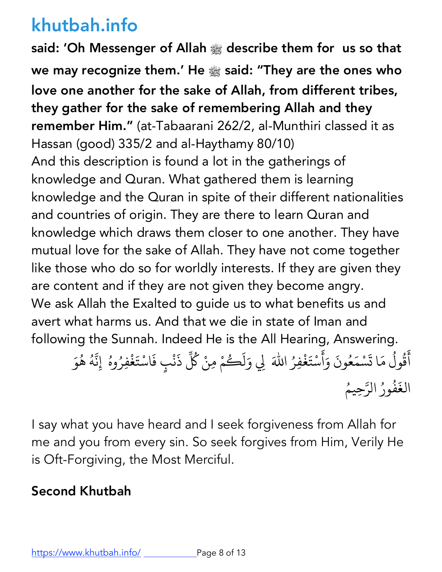said: 'Oh Messenger of Allah **صلى الله عليه وسلم** describe them for us so that we may recognize them.' He **صلى الله عليه وسلم** said: "They are the ones who love one another for the sake of Allah, from different tribes, they gather for the sake of remembering Allah and they remember Him." (at-Tabaarani 262/2, al-Munthiri classed it as Hassan (good) 335/2 and al-Haythamy 80/10) And this description is found a lot in the gatherings of knowledge and Quran. What gathered them is learning knowledge and the Quran in spite of their different nationalities and countries of origin. They are there to learn Quran and knowledge which draws them closer to one another. They have mutual love for the sake of Allah. They have not come together like those who do so for worldly interests. If they are given they are content and if they are not given they become angry. We ask Allah the Exalted to guide us to what benefits us and avert what harms us. And that we die in state of Iman and following the Sunnah. Indeed He is the All Hearing, Answering. ֦֧<u>֓</u>

مَّا تَسْمَعُونَ وَأَسْتَغْفِرُ اللّٰهَ لِي وَلَكُمْ مِنْ كُلِّ ैं.<br>∶ ا<br>ا ؚ<br>֧֧֝֟֟֓֝֬֟֓<u>֓</u> **∶ ∶ ∶** ्<br>। ∫<br>∫ ذَنْبٍ فَاسْتَغْفِرُوهُ ۚ إِنَّهُ هُوَ **∶ Andrew Communication** َ ُ + ؚ<br>ۣ ا<br>ا ्<br>। ؚ<br>֧֧֝֟֟֓<u>֚</u> الغَفُورُ الرَّحِيمُ ُ المستقبل المستقبل المستقبل المستقبل المستقبل المستقبل المستقبل المستقبل المستقبل المستقبل المستقبل المستقبل ال<br>والمستقبل المستقبل المستقبل المستقبل المستقبل المستقبل المستقبل المستقبل المستقبل المستقبل المستقبل المستقبل ا + ُ

I say what you have heard and I seek forgiveness from Allah for me and you from every sin. So seek forgives from Him, Verily He is Oft-Forgiving, the Most Merciful.

#### Second Khutbah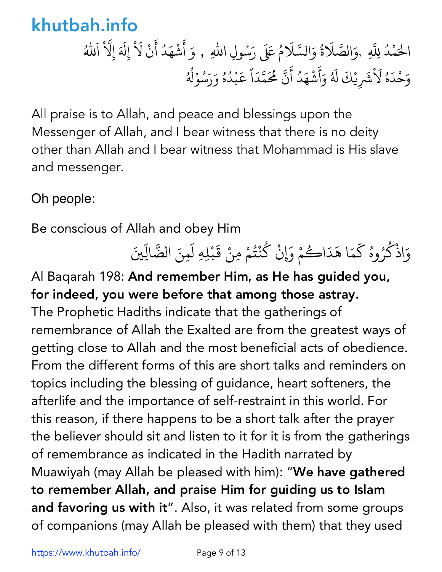الْحَمْدُ لِلَّهِ ,وَالصَّلَاةُ وَالسَّلَامُ عَلَى رَسُولِ اللّٰهِ , وَ أَشْهَدُ أَنْ لَاْ إِلَهَ إِلَّا ُ + **∶** ∫<br>≀ **∶ ∶ ∶** ؚ<br>֧֧֝֟֟֟֟֟֟֟֟֟֟֟֟֟֟֟֟֟֟֘<u>֚</u>  $\ddot{\ }$ ا الله َ ؚ<br>ۣ وَحْدَهُ لَاْشَرِيْكَ لَهُ وَأَشْهَدُ أَنَّ مُحَمَّدَاً عَبْدُهُ وَرَسُوْلُهُ **∶ ∶** المسلم<br>المسلمان<br>المسلمان **∶** ैं।<br>अ ْ **∶** + + **∶** ֧֦֦֝֝֝<u>֚</u> ֝֝֝֝֟֟֟֟֟֟֟֟֟֟֜ ْ ُ ∫<br>≀ ؚ<sub>ّ</sub> ∫<br>∫ ؚ<u>ُ</u>

All praise is to Allah, and peace and blessings upon the Messenger of Allah, and I bear witness that there is no deity other than Allah and I bear witness that Mohammad is His slave and messenger.

Oh people:

Be conscious of Allah and obey Him

وَاذْكُرُوهُ كَمَا هَدَاكُمْ وَإِنْ كُنْتُمْ مِنْ قَبْلِهِ لَمِنَ الضَّالِّينَ ا<br>المسلمات ُ ֦֦֖֦֦֦ׅ֧֦֧ׅ֧ׅ֧֦֧ׅ֧֧ׅ֧ׅ֧֦֚֚֚֝֝֝֝֝֝֬֝֓֝֬֝֓֝֬֝֬֝֓֝֬֝֬֝֓֟֓֬֝֓֟֓֡֬֜֓֓֟֓֡֬֓֜֜֓֜֓֓֬֝֓֜֜֓֬֜֓֟ ्<br>्र ا<br>المساحة<br>المساحة ْ ُ  $\ddot{\phantom{0}}$ 

Al Baqarah 198: And remember Him, as He has guided you, for indeed, you were before that among those astray. The Prophetic Hadiths indicate that the gatherings of remembrance of Allah the Exalted are from the greatest ways of getting close to Allah and the most beneficial acts of obedience. From the different forms of this are short talks and reminders on topics including the blessing of guidance, heart softeners, the afterlife and the importance of self-restraint in this world. For this reason, if there happens to be a short talk after the prayer the believer should sit and listen to it for it is from the gatherings of remembrance as indicated in the Hadith narrated by Muawiyah (may Allah be pleased with him): "We have gathered to remember Allah, and praise Him for guiding us to Islam and favoring us with it". Also, it was related from some groups of companions (may Allah be pleased with them) that they used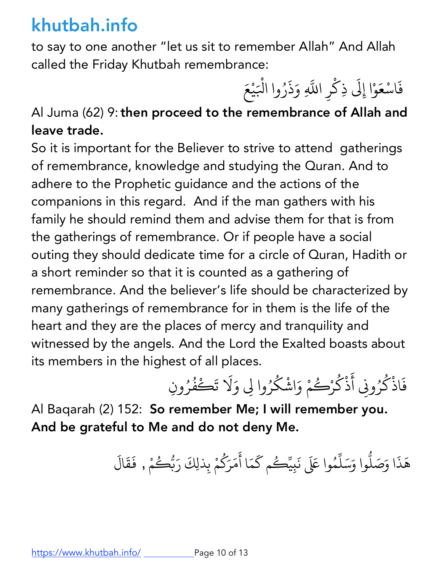to say to one another "let us sit to remember Allah" And Allah called the Friday Khutbah remembrance:

فَاسْعَوْا إِلَى ذِكْرِ اللَّهِ وَذَرُوا الْبَيْعَ ैं।<br>। <u>់</u> ֧֖֖֖֖֖֖֖֖֪֪֪֦֧֧֚֚֚֚֚֚֚֚֚֚֚֝֟֓֕֓֝֬֝֝֝֟֓֟֓֡֬֓֓֬֝֓֬֝֬֓֬֝֓֬֝֓֬֝֬֓֬֝֬֓֬֝֬ َ َ ْ

## Al Juma (62) 9: then proceed to the remembrance of Allah and leave trade.

So it is important for the Believer to strive to attend gatherings of remembrance, knowledge and studying the Quran. And to adhere to the Prophetic guidance and the actions of the companions in this regard. And if the man gathers with his family he should remind them and advise them for that is from the gatherings of remembrance. Or if people have a social outing they should dedicate time for a circle of Quran, Hadith or a short reminder so that it is counted as a gathering of remembrance. And the believer's life should be characterized by many gatherings of remembrance for in them is the life of the heart and they are the places of mercy and tranquility and witnessed by the angels. And the Lord the Exalted boasts about its members in the highest of all places.

فَاذْكُرُونِي أَذْكُرْكُمْ وَاشْكُرُوا لِي وَلَا تَكْفُرُونِ **∶** ْ ا<br>المناطق  $\ddot{\phantom{a}}$ ֧֘֒<u>֚</u> ֦֦֦֦֡֡֝֝֝֟֝֝֝<u>֚</u> ِ<br>ا ُ <u>់</u> المستقبل المستقبل المستقبل المستقبل المستقبل المستقبل المستقبل المستقبل المستقبل المستقبل المستقبل المستقبل ال<br>والمستقبل المستقبل المستقبل المستقبل المستقبل المستقبل المستقبل المستقبل المستقبل المستقبل المستقبل المستقبل ا

Al Baqarah (2) 152: So remember Me; I will remember you. And be grateful to Me and do not deny Me.

> هَذَا وَصَلُّوا وَسَلِّمُوا عَلَى نَبِيِّحُم كَمَا أَمَرَكُمْ بِذلِكَ رَبُّحُ **.** ؚ<br>ؚ<br>ؘ ֧֧֖֖֖֖֖֖֖֖֧֚֚֚֚֚֚֚֚֝֟֓֕֝֟֟֓֕֬<u>֓</u><br>֧֪֧֝֩ **∶** ֺ֦֧֦֦֧֦֧֦֧֦֧ׅׅ֪֦֧ׅ֦֧ׅ֦֧ׅ֧ׅ֪ׅ֪֦֪֪֪ׅ֪֦֧֚֝֝֜֓֡֜֓֡֜֓֡֬֜֓֡֬֜֓֡֬֓֞֓֡֬֓֞֓֡֬֓֜֓֡֬֓֞֓֡֬֓֓֞֬֓֓֞֡֬֓֞֬֓ **∶ ∶** ؚ<br>ۣ **∶** <u>،</u><br>أح .<br>مْ , فَقَالَ **∶ ∶**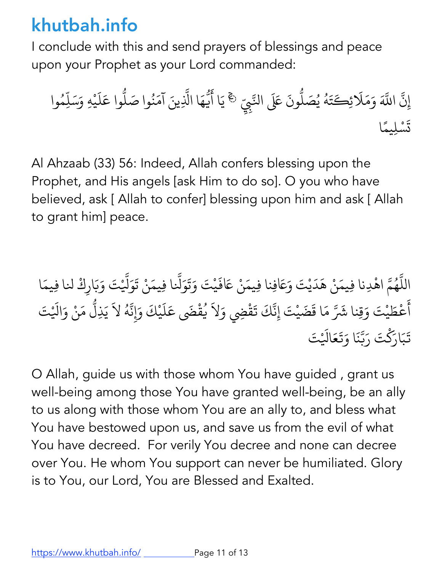I conclude with this and send prayers of blessings and peace upon your Prophet as your Lord commanded:

ِن إ + َ+ اب و م َ لا َ ِك َ َ ئ ت َ ه ُ ي ُ ص ل َ ّ ون + اج ََل َ ي ّ ۚ◌ ِِب ا أ َ َ ف ّ ه ا اM َ + آم َ ِين َ ن ُ <sup>ل</sup> َ وا <sup>ص</sup> ّ َ وا ع ل َ ي س َ ِه و ْ َ ِل ّ م وا ُ ت َ س ً ِليم ْ ا

Al Ahzaab (33) 56: Indeed, Allah confers blessing upon the Prophet, and His angels [ask Him to do so]. O you who have believed, ask [ Allah to confer] blessing upon him and ask [ Allah to grant him] peace.

اللَّهُمَّ اهْدِنا فِيمَنْ هَدَيْتَ وَعَافِنا فِيمَنْ عَافَيْتَ وَتَوَلَّنا فِيمَنْ تَوَلَّيْتَ وَبَارِكْ لنا فِيمَا + ُ + **∶ ∶ ∶ ا** َ + **∶ ∶** أَعْطَيْتَ وَقِنا شَرَّ مَا قَضَيْتَ إِنَّكَ تَقْضِي وَلاَ يُقْضَى عَلَيْكَ وَإِنَّهُ لاَ يَذِلُّ مَنْ وَالَيْتَ ैं.<br>∶ َ **∶** ِّ بِيَّةٍ بِيَّةٍ بِيَّةٍ بِيَانِيَةٍ بِيَانِيَةٍ بِيَانِيَةٍ بِيَانِيَةٍ بِيَانِيَةٍ بِيَانِيَةٍ بِيَانِيَةٍ .<br>ا **∶ │** |<br>يم **∶** + **∶** ֧֧֝֟֟֓֕֝֟֟֓֬֝֬֝֓֬֝֬֝֬֝֬֝֬֝֬֝֬֝֬֝֬֝֟֓֬֝֬֝֟֓֬֝֬֓֬ **∶ ∶** تَبَارَكْتَ رَبَّنَا وَتَعَالَيْتَ َ َ **∶** + **∶** َ **∶ ∶** 

O Allah, guide us with those whom You have guided , grant us well-being among those You have granted well-being, be an ally to us along with those whom You are an ally to, and bless what You have bestowed upon us, and save us from the evil of what You have decreed. For verily You decree and none can decree over You. He whom You support can never be humiliated. Glory is to You, our Lord, You are Blessed and Exalted.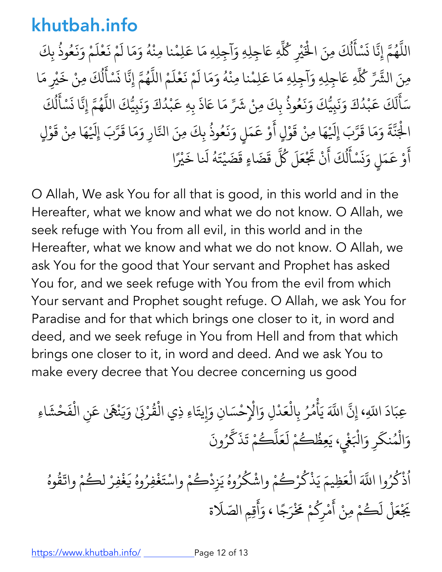اللَّهُمَّ إِنَّا نَسْأَلُكَ مِنَ الْخَيْرِ كُلِّهِ عَاجِلِهِ وَآجِلِهِ مَا عَلِمْنا مِنْهُ وَمَا لَمْ نَعْلَمْ وَنَعُوذُ بِكَ + ُ **∶** i. ैं।<br>। ل ِّ بِ ؚ<br>ۣ **Andrew Communication Andrew Communication** ∫<br>≀ **∶ ∶** i. **∶ ∶ ∶** ُ **∶** مِنَ الشَّرِّ كُلِّهِ عَاجِلِهِ وَآجِلِهِ مَا عَلِمْنا مِنْهُ وَمَا لَمْ نَعْلَمْ اللَّهُمَّ إِنَّا نَسْأَلُكَ مِنْ خَيْرِ مَا ∫<br>່ **∶ │** <u>َ</u> **∶** + ُ **∶ ∶** ل المستقبل المستقبل المستقبل المستقبل المستقبل المستقبل المستقبل المستقبل المستقبل المستقبل المستقبل المستقبل ال<br>والمستقبل المستقبل المستقبل المستقبل المستقبل المستقبل المستقبل المستقبل المستقبل المستقبل المستقبل المستقبل ا **Andrew Communication ∶** سَأَلَكَ عَبْدُكَ وَنَبِيُّكَ وَنَعُوذُ بِكَ مِنْ شَرِّ مَا عَاذَ بِهِ عَبْدُكَ وَنَبِيُّكَ اللَّهُمَّ إِنَّا نَسْأَلُكَ **∶** َ ل  $\ddot{\phantom{0}}$ **∶ ∶ ∶ ∶** ُ **∶** ؚ<br>֖֪֡֝֟֟֟֟֟֟֟֟֟֟֟֟֓֝֬֝֟֟֟֟֟֝֟֝֬֝֟֩*֟* ْ **∶ ∶** + ُ **∶** ์<br>. ل ِّ بِ **∶** الْجَنَّةَ وَمَا قَرَّبَ إِلَيْهَا مِنْ قَوْلٍ أَوْ عَمَلٍ وَنَعُوذُ بِكَ مِنَ النَّارِ وَمَا قَرَّبَ إِلَيْهَا مِنْ قَوْلٍ **Andrew Communication** ์<br>. + **∶** + **∶ Andrew Communication ∶ ∶**  $\ddot{\phantom{0}}$ **∶ ∶** ُ +**∶** + ا<br>ا **Andrew Communication** ؚ<br>֧֧֝֟֟֟֟֟֟֟֟֟֟֟֟֟֟֟֟֟֟֟֡֬֝֬֟<u>֟</u> .<br>أَوْ عَمَلٍ وَنَسْأَلُكَ أَنْ تَجْ **∶** ؚ<br>֖֧֡֡֟֟֟֟֟֟֟֟֟֟֟֟֟֟֟֟֟֟֟֟֟֟֟֟֟֟֟<sup>֟</sup> **∶** ن **∶** ْ ֺ֖֖֖֚֚֚֚֚֚֚֚֚֚֚֚֚֚֚֚֝֝֝֝֝֝֝֝֝֝֝֝֬֝֝֬֝<del>֛</del> ل المسلم<br>المسلمان<br>المسلمان .<br>ا ۔<br>حَلَ كُلَّ قَضَاءٍ قَضَيْتَهُ لَنا خَيْرًا **Andrew Communication ∶** 

O Allah, We ask You for all that is good, in this world and in the Hereafter, what we know and what we do not know. O Allah, we seek refuge with You from all evil, in this world and in the Hereafter, what we know and what we do not know. O Allah, we ask You for the good that Your servant and Prophet has asked You for, and we seek refuge with You from the evil from which Your servant and Prophet sought refuge. O Allah, we ask You for Paradise and for that which brings one closer to it, in word and deed, and we seek refuge in You from Hell and from that which brings one closer to it, in word and deed. And we ask You to make every decree that You decree concerning us good

عِبَادَ اللّهِ، إِنَّ :<br>; َ+اللَّهَ يَأْمُرُ بِالْعَدْلِ وَالْإِحْسَانِ وَإِيتَاءِ ذِي الْقُرْبَىٰ وَيَنْهَىٰ عَنِ الْفَحْشَاءِ **∶ Andrew Communication** ُ ُ **∶** |<br>پر ُْ **∶ ∶** وَالْمُنكَرِ وَالْبَغْيِ، يَعِظُكُمْ لَعَلَّكُمْ تَذَكَّرُونَ َ **∶** ∫<br>່ ∫<br>∫ **∶** ैं. .<br>. ∫<br>∫ َ **∶**  $\ddot{\cdot}$ **∶** 

اُذْكُرُوا اللَّهَ الْعَظِيمَ يَذْكُرْكُمْ واشْكُرُوهُ يَزِدْكُمْ واسْتَغْفِرُوهُ يَغْفِرْ لكُمْ واتّقُوهُ ُ **Andrew Communication** ؚ<br>ا **Andrew Communication Andrew Communication** ؚ<br>ۣ ؚ<br>ۣ ُ ُ **∶** ∫<br>∫ **∶** ُ ؚ<br>ۣ **∶** ।<br>∫ **:** ُ ؚ<br>ُ يَجْعَلْ لَكُمْ مِنْ أَمْرِكُمْ مَخْرَجًا ، وَأَقِمِ الصّلَاة ∫<br>∫ َ **Andrew Communication** ∫<br>∫ ا<br>المنابعة<br>المنابعة **∶ ∶**